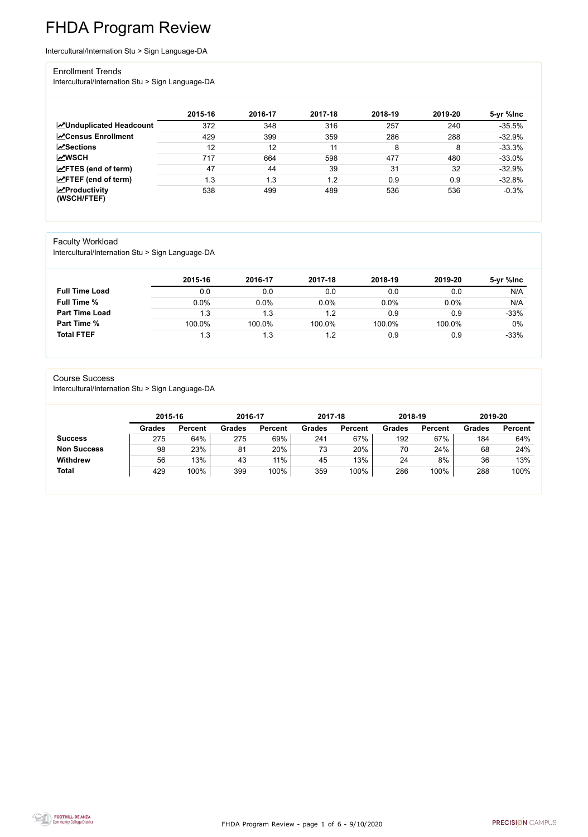FHDA Program Review - page 1 of 6 - 9/10/2020



# FHDA Program Review

Intercultural/Internation Stu > Sign Language-DA

#### Enrollment Trends

Intercultural/Internation Stu > Sign Language-DA

|                                                  | 2015-16 | 2016-17          | 2017-18 | 2018-19 | 2019-20 | 5-yr %lnc |
|--------------------------------------------------|---------|------------------|---------|---------|---------|-----------|
| <b>ZUnduplicated Headcount</b>                   | 372     | 348              | 316     | 257     | 240     | $-35.5%$  |
| <b>ZCensus Enrollment</b>                        | 429     | 399              | 359     | 286     | 288     | $-32.9%$  |
| <b>ZSections</b>                                 | 12      | 12               | 11      | 8       | 8       | $-33.3%$  |
| <b>MWSCH</b>                                     | 717     | 664              | 598     | 477     | 480     | $-33.0%$  |
| $\angle$ FTES (end of term)                      | 47      | 44               | 39      | 31      | 32      | $-32.9%$  |
| $\angle$ FTEF (end of term)                      | 1.3     | $\overline{1.3}$ | 1.2     | 0.9     | 0.9     | $-32.8%$  |
| $\sqrt{\frac{1}{2}}$ Productivity<br>(WSCH/FTEF) | 538     | 499              | 489     | 536     | 536     | $-0.3%$   |

#### Faculty Workload

Intercultural/Internation Stu > Sign Language-DA

|                       | 2015-16 | 2016-17 | 2017-18 | 2018-19 | 2019-20 | 5-yr %Inc |
|-----------------------|---------|---------|---------|---------|---------|-----------|
| <b>Full Time Load</b> | 0.0     | 0.0     | 0.0     | 0.0     | 0.0     | N/A       |
| <b>Full Time %</b>    | 0.0%    | 0.0%    | 0.0%    | 0.0%    | 0.0%    | N/A       |
| <b>Part Time Load</b> | 1.3     | 1.3     | 1.2     | 0.9     | 0.9     | $-33%$    |
| <b>Part Time %</b>    | 100.0%  | 100.0%  | 100.0%  | 100.0%  | 100.0%  | $0\%$     |
| <b>Total FTEF</b>     | 1.3     | 1.3     | 1.2     | 0.9     | 0.9     | $-33%$    |

#### Course Success

Intercultural/Internation Stu > Sign Language-DA

| <b>Grades</b> | <b>Percent</b> | <b>Grades</b> | <b>Percent</b> | <b>Grades</b> |                |
|---------------|----------------|---------------|----------------|---------------|----------------|
|               |                |               |                |               | <b>Percent</b> |
| 241           | 67%            | 192           | 67%            | 184           | 64%            |
| 73            | 20%            | 70            | 24%            | 68            | 24%            |
| 45            | 13%            | 24            | 8%             | 36            | 13%            |
| 359           | 100%           | 286           | 100%           | 288           | 100%           |
|               |                |               |                |               |                |

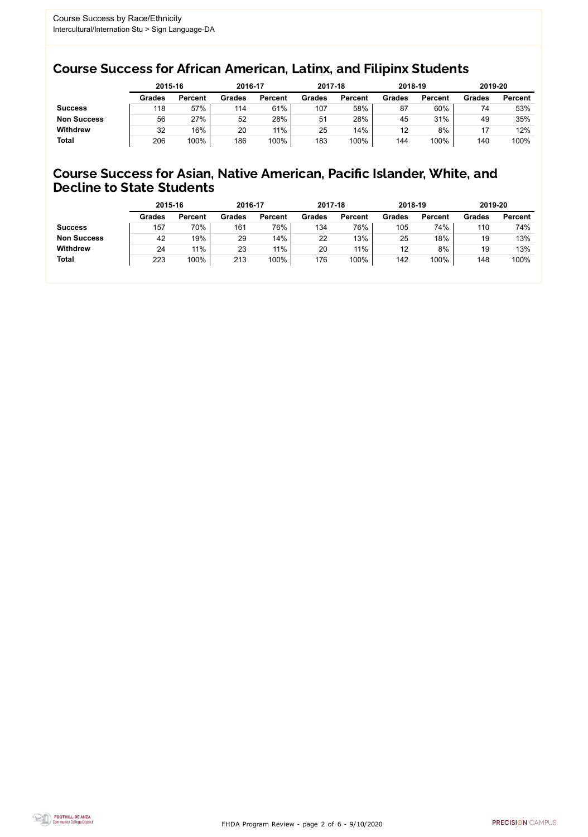FHDA Program Review - page 2 of 6 - 9/10/2020



### Course Success for African American, Latinx, and Filipinx Students

### Course Success for Asian, Native American, Pacific Islander, White, and Decline to State Students

|                    | 2015-16       |                | 2016-17       |                | 2017-18       |                | 2018-19       |                | 2019-20       |                |
|--------------------|---------------|----------------|---------------|----------------|---------------|----------------|---------------|----------------|---------------|----------------|
|                    | <b>Grades</b> | <b>Percent</b> | <b>Grades</b> | <b>Percent</b> | <b>Grades</b> | <b>Percent</b> | <b>Grades</b> | <b>Percent</b> | <b>Grades</b> | <b>Percent</b> |
| <b>Success</b>     | 118           | 57%            | 114           | 61%            | 107           | 58%            | 87            | 60%            | 74            | 53%            |
| <b>Non Success</b> | 56            | 27%            | 52            | 28%            | 51            | 28%            | 45            | 31%            | 49            | 35%            |
| <b>Withdrew</b>    | 32            | 16%            | 20            | $11\%$         | 25            | 14%            | 12            | 8%             |               | 12%            |
| <b>Total</b>       | 206           | 100%           | 186           | 100%           | 183           | 100%           | 144           | 100%           | 140           | 100%           |

|                    | 2015-16       |                | 2016-17       |                | 2017-18       |                | 2018-19       |                | 2019-20       |                |
|--------------------|---------------|----------------|---------------|----------------|---------------|----------------|---------------|----------------|---------------|----------------|
|                    | <b>Grades</b> | <b>Percent</b> | <b>Grades</b> | <b>Percent</b> | <b>Grades</b> | <b>Percent</b> | <b>Grades</b> | <b>Percent</b> | <b>Grades</b> | <b>Percent</b> |
| <b>Success</b>     | 157           | 70%            | 161           | 76%            | 134           | 76%            | 105           | 74%            | 110           | 74%            |
| <b>Non Success</b> | 42            | 19%            | 29            | 14%            | 22            | 13%            | 25            | 18%            | 19            | 13%            |
| <b>Withdrew</b>    | 24            | 11%            | 23            | $11\%$         | 20            | 11%            | 12            | 8%             | 19            | 13%            |
| <b>Total</b>       | 223           | 100%           | 213           | 100%           | 176           | 100%           | 142           | 100%           | 148           | 100%           |
|                    |               |                |               |                |               |                |               |                |               |                |

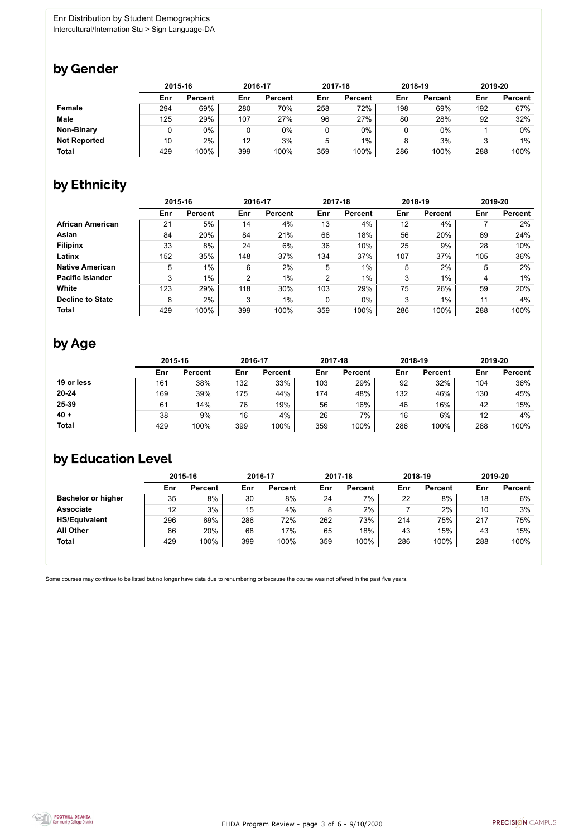FHDA Program Review - page 3 of 6 - 9/10/2020



Some courses may continue to be listed but no longer have data due to renumbering or because the course was not offered in the past five years.



### by Gender

|                     | 2015-16 |                |     | 2016-17        |     | 2017-18        |     | 2018-19        |     | 2019-20        |  |
|---------------------|---------|----------------|-----|----------------|-----|----------------|-----|----------------|-----|----------------|--|
|                     | Enr     | <b>Percent</b> | Enr | <b>Percent</b> | Enr | <b>Percent</b> | Enr | <b>Percent</b> | Enr | <b>Percent</b> |  |
| <b>Female</b>       | 294     | 69%            | 280 | 70%            | 258 | 72%            | 198 | 69%            | 192 | 67%            |  |
| <b>Male</b>         | 125     | 29%            | 107 | 27%            | 96  | 27%            | 80  | 28%            | 92  | 32%            |  |
| <b>Non-Binary</b>   |         | 0%             |     | 0%             |     | 0%             |     | $0\%$          |     | 0%             |  |
| <b>Not Reported</b> | 10      | 2%             | 12  | 3%             | 5   | 1%             | 8   | 3%             |     | $1\%$          |  |
| <b>Total</b>        | 429     | 100%           | 399 | 100%           | 359 | 100%           | 286 | 100%           | 288 | 100%           |  |

## by Ethnicity

|                         | 2015-16 |                |                | 2016-17        |                | 2017-18        |     | 2018-19        | 2019-20 |                |
|-------------------------|---------|----------------|----------------|----------------|----------------|----------------|-----|----------------|---------|----------------|
|                         | Enr     | <b>Percent</b> | Enr            | <b>Percent</b> | Enr            | <b>Percent</b> | Enr | <b>Percent</b> | Enr     | <b>Percent</b> |
| <b>African American</b> | 21      | 5%             | 14             | 4%             | 13             | 4%             | 12  | 4%             |         | 2%             |
| Asian                   | 84      | 20%            | 84             | 21%            | 66             | 18%            | 56  | 20%            | 69      | 24%            |
| <b>Filipinx</b>         | 33      | 8%             | 24             | 6%             | 36             | 10%            | 25  | 9%             | 28      | 10%            |
| Latinx                  | 152     | 35%            | 148            | 37%            | 134            | 37%            | 107 | 37%            | 105     | 36%            |
| <b>Native American</b>  | 5       | $1\%$          | 6              | $2\%$          | 5              | $1\%$          | 5   | 2%             | 5       | 2%             |
| <b>Pacific Islander</b> | 3       | $1\%$          | $\overline{2}$ | $1\%$          | $\overline{2}$ | 1%             | 3   | $1\%$          | 4       | $1\%$          |
| <b>White</b>            | 123     | 29%            | 118            | 30%            | 103            | 29%            | 75  | 26%            | 59      | 20%            |
| <b>Decline to State</b> | 8       | 2%             | 3              | $1\%$          | $\mathbf 0$    | $0\%$          | 3   | 1%             | 11      | 4%             |
| <b>Total</b>            | 429     | 100%           | 399            | 100%           | 359            | 100%           | 286 | 100%           | 288     | 100%           |

## by Age

|              | 2015-16 |                |     | 2016-17        |     | 2017-18        |     | 2018-19        |     | 2019-20        |  |
|--------------|---------|----------------|-----|----------------|-----|----------------|-----|----------------|-----|----------------|--|
|              | Enr     | <b>Percent</b> | Enr | <b>Percent</b> | Enr | <b>Percent</b> | Enr | <b>Percent</b> | Enr | <b>Percent</b> |  |
| 19 or less   | 161     | 38%            | 132 | 33%            | 103 | 29%            | 92  | 32%            | 104 | 36%            |  |
| $20 - 24$    | 169     | 39%            | 175 | 44%            | 174 | 48%            | 132 | 46%            | 130 | 45%            |  |
| 25-39        | 61      | $14\%$         | 76  | 19%            | 56  | 16%            | 46  | 16%            | 42  | 15%            |  |
| $40 +$       | 38      | 9%             | 16  | 4%             | 26  | 7%             | 16  | 6%             | 12  | 4%             |  |
| <b>Total</b> | 429     | 100%           | 399 | 100%           | 359 | 100%           | 286 | 100%           | 288 | 100%           |  |

### by Education Level

|                           | 2015-16 |                |     | 2016-17        |     | 2017-18        |     | 2018-19        | 2019-20 |                |
|---------------------------|---------|----------------|-----|----------------|-----|----------------|-----|----------------|---------|----------------|
|                           | Enr     | <b>Percent</b> | Enr | <b>Percent</b> | Enr | <b>Percent</b> | Enr | <b>Percent</b> | Enr     | <b>Percent</b> |
| <b>Bachelor or higher</b> | 35      | 8%             | 30  | 8%             | 24  | 7%             | 22  | 8%             | 18      | 6%             |
| <b>Associate</b>          | 12      | 3%             | 15  | 4%             | 8   | 2%             |     | 2%             | 10      | 3%             |
| <b>HS/Equivalent</b>      | 296     | 69%            | 286 | 72%            | 262 | 73%            | 214 | 75%            | 217     | 75%            |
| <b>All Other</b>          | 86      | 20%            | 68  | 17%            | 65  | 18%            | 43  | 15%            | 43      | 15%            |
| <b>Total</b>              | 429     | 100%           | 399 | 100%           | 359 | 100%           | 286 | 100%           | 288     | 100%           |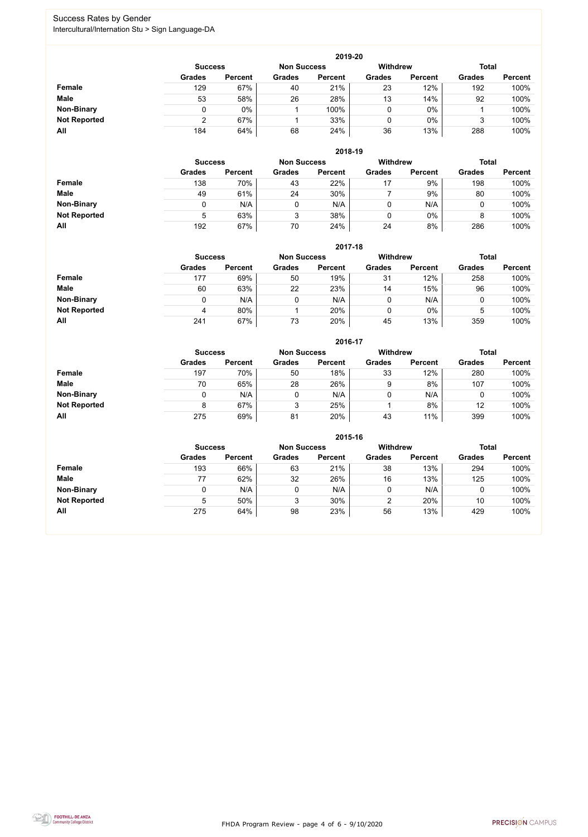FHDA Program Review - page 4 of 6 - 9/10/2020



### Success Rates by Gender Intercultural/Internation Stu > Sign Language-DA

|                     | 2019-20        |                |                    |                |                 |                |               |                |  |  |  |
|---------------------|----------------|----------------|--------------------|----------------|-----------------|----------------|---------------|----------------|--|--|--|
|                     | <b>Success</b> |                | <b>Non Success</b> |                | <b>Withdrew</b> |                | <b>Total</b>  |                |  |  |  |
|                     | <b>Grades</b>  | <b>Percent</b> | <b>Grades</b>      | <b>Percent</b> | <b>Grades</b>   | <b>Percent</b> | <b>Grades</b> | <b>Percent</b> |  |  |  |
| <b>Female</b>       | 129            | 67%            | 40                 | 21%            | 23              | 12%            | 192           | 100%           |  |  |  |
| <b>Male</b>         | 53             | 58%            | 26                 | 28%            | 13              | 14%            | 92            | 100%           |  |  |  |
| <b>Non-Binary</b>   | 0              | $0\%$          |                    | 100%           | 0               | $0\%$          |               | 100%           |  |  |  |
| <b>Not Reported</b> | າ              | 67%            |                    | 33%            | 0               | $0\%$          | 3             | 100%           |  |  |  |
| All                 | 184            | 64%            | 68                 | 24%            | 36              | 13%            | 288           | 100%           |  |  |  |

|                     |                | 2018-19        |                    |                |                 |                |               |                |  |  |  |  |
|---------------------|----------------|----------------|--------------------|----------------|-----------------|----------------|---------------|----------------|--|--|--|--|
|                     | <b>Success</b> |                | <b>Non Success</b> |                | <b>Withdrew</b> |                | <b>Total</b>  |                |  |  |  |  |
|                     | <b>Grades</b>  | <b>Percent</b> | <b>Grades</b>      | <b>Percent</b> | <b>Grades</b>   | <b>Percent</b> | <b>Grades</b> | <b>Percent</b> |  |  |  |  |
| Female              | 138            | 70%            | 43                 | 22%            | 17              | 9%             | 198           | 100%           |  |  |  |  |
| <b>Male</b>         | 49             | 61%            | 24                 | 30%            |                 | 9%             | 80            | 100%           |  |  |  |  |
| <b>Non-Binary</b>   |                | N/A            | 0                  | N/A            | 0               | N/A            |               | 100%           |  |  |  |  |
| <b>Not Reported</b> | 5              | 63%            | 3                  | 38%            | 0               | $0\%$          | 8             | 100%           |  |  |  |  |
| All                 | 192            | 67%            | 70                 | 24%            | 24              | 8%             | 286           | 100%           |  |  |  |  |

|                     | 2017-18        |                |                    |                |                 |                |               |                |  |  |  |
|---------------------|----------------|----------------|--------------------|----------------|-----------------|----------------|---------------|----------------|--|--|--|
|                     | <b>Success</b> |                | <b>Non Success</b> |                | <b>Withdrew</b> |                | <b>Total</b>  |                |  |  |  |
|                     | <b>Grades</b>  | <b>Percent</b> | <b>Grades</b>      | <b>Percent</b> | <b>Grades</b>   | <b>Percent</b> | <b>Grades</b> | <b>Percent</b> |  |  |  |
| <b>Female</b>       | 177            | 69%            | 50                 | 19%            | 31              | 12%            | 258           | 100%           |  |  |  |
| <b>Male</b>         | 60             | 63%            | 22                 | 23%            | 14              | 15%            | 96            | 100%           |  |  |  |
| <b>Non-Binary</b>   | 0              | N/A            |                    | N/A            | 0               | N/A            | υ             | 100%           |  |  |  |
| <b>Not Reported</b> | 4              | 80%            |                    | 20%            | 0               | $0\%$          | 5             | 100%           |  |  |  |
| All                 | 241            | 67%            | 73                 | 20%            | 45              | 13%            | 359           | 100%           |  |  |  |

|                     |               | 2016-17                              |               |                |               |                 |               |                |  |  |
|---------------------|---------------|--------------------------------------|---------------|----------------|---------------|-----------------|---------------|----------------|--|--|
|                     |               | <b>Non Success</b><br><b>Success</b> |               |                |               | <b>Withdrew</b> | <b>Total</b>  |                |  |  |
|                     | <b>Grades</b> | <b>Percent</b>                       | <b>Grades</b> | <b>Percent</b> | <b>Grades</b> | <b>Percent</b>  | <b>Grades</b> | <b>Percent</b> |  |  |
| <b>Female</b>       | 197           | 70%                                  | 50            | 18%            | 33            | 12%             | 280           | 100%           |  |  |
| <b>Male</b>         | 70            | 65%                                  | 28            | 26%            | 9             | 8%              | 107           | 100%           |  |  |
| <b>Non-Binary</b>   | 0             | N/A                                  |               | N/A            | 0             | N/A             |               | 100%           |  |  |
| <b>Not Reported</b> | 8             | 67%                                  | 3             | 25%            |               | 8%              | 12            | 100%           |  |  |
| All                 | 275           | 69%                                  | 81            | 20%            | 43            | 11%             | 399           | 100%           |  |  |

|                     |                                      | 2015-16        |               |                |                 |                |               |                |  |  |
|---------------------|--------------------------------------|----------------|---------------|----------------|-----------------|----------------|---------------|----------------|--|--|
|                     | <b>Non Success</b><br><b>Success</b> |                |               |                | <b>Withdrew</b> |                | <b>Total</b>  |                |  |  |
|                     | <b>Grades</b>                        | <b>Percent</b> | <b>Grades</b> | <b>Percent</b> | <b>Grades</b>   | <b>Percent</b> | <b>Grades</b> | <b>Percent</b> |  |  |
| Female              | 193                                  | 66%            | 63            | 21%            | 38              | 13%            | 294           | 100%           |  |  |
| <b>Male</b>         | 77                                   | 62%            | 32            | 26%            | 16              | 13%            | 125           | 100%           |  |  |
| <b>Non-Binary</b>   |                                      | N/A            | 0             | N/A            |                 | N/A            |               | 100%           |  |  |
| <b>Not Reported</b> | 5                                    | 50%            | 3             | 30%            | 2               | 20%            | 10            | 100%           |  |  |
| All                 | 275                                  | 64%            | 98            | 23%            | 56              | 13%            | 429           | 100%           |  |  |

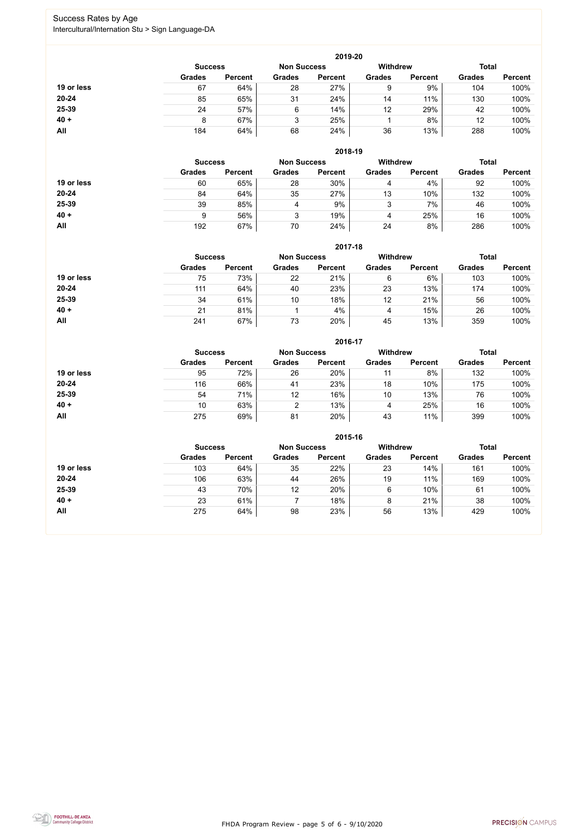FHDA Program Review - page 5 of 6 - 9/10/2020



### Success Rates by Age Intercultural/Internation Stu > Sign Language-DA

|            | 2019-20        |                    |               |                |                                 |                |               |                |  |  |
|------------|----------------|--------------------|---------------|----------------|---------------------------------|----------------|---------------|----------------|--|--|
|            | <b>Success</b> | <b>Non Success</b> |               |                | <b>Total</b><br><b>Withdrew</b> |                |               |                |  |  |
|            | <b>Grades</b>  | <b>Percent</b>     | <b>Grades</b> | <b>Percent</b> | <b>Grades</b>                   | <b>Percent</b> | <b>Grades</b> | <b>Percent</b> |  |  |
| 19 or less | 67             | 64%                | 28            | 27%            | 9                               | 9%             | 104           | 100%           |  |  |
| $20 - 24$  | 85             | 65%                | 31            | 24%            | 14                              | 11%            | 130           | 100%           |  |  |
| 25-39      | 24             | 57%                | 6             | 14%            | 12                              | 29%            | 42            | 100%           |  |  |
| $40 +$     | 8              | 67%                | 3             | 25%            |                                 | 8%             | 12            | 100%           |  |  |
| All        | 184            | 64%                | 68            | 24%            | 36                              | 13%            | 288           | 100%           |  |  |

|            | 2018-19                              |                |               |                 |               |                |               |                |  |
|------------|--------------------------------------|----------------|---------------|-----------------|---------------|----------------|---------------|----------------|--|
|            | <b>Non Success</b><br><b>Success</b> |                |               | <b>Withdrew</b> |               | <b>Total</b>   |               |                |  |
|            | <b>Grades</b>                        | <b>Percent</b> | <b>Grades</b> | <b>Percent</b>  | <b>Grades</b> | <b>Percent</b> | <b>Grades</b> | <b>Percent</b> |  |
| 19 or less | 60                                   | 65%            | 28            | 30%             | 4             | 4%             | 92            | 100%           |  |
| $20 - 24$  | 84                                   | 64%            | 35            | 27%             | 13            | 10%            | 132           | 100%           |  |
| 25-39      | 39                                   | 85%            | 4             | 9%              | 2<br>ر        | 7%             | 46            | 100%           |  |
| $40 +$     | 9                                    | 56%            | 3             | 19%             | 4             | 25%            | 16            | 100%           |  |
| All        | 192                                  | 67%            | 70            | 24%             | 24            | 8%             | 286           | 100%           |  |

|            | 2017-18                              |                |               |                |                 |                |               |                |  |  |
|------------|--------------------------------------|----------------|---------------|----------------|-----------------|----------------|---------------|----------------|--|--|
|            | <b>Non Success</b><br><b>Success</b> |                |               |                | <b>Withdrew</b> |                | <b>Total</b>  |                |  |  |
|            | <b>Grades</b>                        | <b>Percent</b> | <b>Grades</b> | <b>Percent</b> | <b>Grades</b>   | <b>Percent</b> | <b>Grades</b> | <b>Percent</b> |  |  |
| 19 or less | 75                                   | 73%            | 22            | 21%            | 6               | 6%             | 103           | 100%           |  |  |
| 20-24      | 111                                  | 64%            | 40            | 23%            | 23              | 13%            | 174           | 100%           |  |  |
| 25-39      | 34                                   | 61%            | 10            | 18%            | 12              | 21%            | 56            | 100%           |  |  |
| $40 +$     | 21                                   | 81%            |               | 4%             | 4               | 15%            | 26            | 100%           |  |  |
| All        | 241                                  | 67%            | 73            | 20%            | 45              | 13%            | 359           | 100%           |  |  |

|            |                                      |                |               | 2016-17        |                 |                |               |                |
|------------|--------------------------------------|----------------|---------------|----------------|-----------------|----------------|---------------|----------------|
|            | <b>Non Success</b><br><b>Success</b> |                |               |                | <b>Withdrew</b> |                | <b>Total</b>  |                |
|            | <b>Grades</b>                        | <b>Percent</b> | <b>Grades</b> | <b>Percent</b> | <b>Grades</b>   | <b>Percent</b> | <b>Grades</b> | <b>Percent</b> |
| 19 or less | 95                                   | 72%            | 26            | 20%            | 11              | 8%             | 132           | 100%           |
| $20 - 24$  | 116                                  | 66%            | 41            | 23%            | 18              | 10%            | 175           | 100%           |
| 25-39      | 54                                   | 71%            | 12            | 16%            | 10              | 13%            | 76            | 100%           |
| $40 +$     | 10                                   | 63%            | 2             | 13%            | 4               | 25%            | 16            | 100%           |
| All        | 275                                  | 69%            | 81            | 20%            | 43              | 11%            | 399           | 100%           |

|            | 2015-16                              |                |               |                |                 |                |               |                |  |  |
|------------|--------------------------------------|----------------|---------------|----------------|-----------------|----------------|---------------|----------------|--|--|
|            | <b>Non Success</b><br><b>Success</b> |                |               |                | <b>Withdrew</b> |                | <b>Total</b>  |                |  |  |
|            | <b>Grades</b>                        | <b>Percent</b> | <b>Grades</b> | <b>Percent</b> | <b>Grades</b>   | <b>Percent</b> | <b>Grades</b> | <b>Percent</b> |  |  |
| 19 or less | 103                                  | 64%            | 35            | 22%            | 23              | 14%            | 161           | 100%           |  |  |
| $20 - 24$  | 106                                  | 63%            | 44            | 26%            | 19              | 11%            | 169           | 100%           |  |  |
| 25-39      | 43                                   | 70%            | 12            | 20%            | 6               | 10%            | 61            | 100%           |  |  |
| $40 +$     | 23                                   | 61%            |               | 18%            | 8               | 21%            | 38            | 100%           |  |  |
| All        | 275                                  | 64%            | 98            | 23%            | 56              | 13%            | 429           | 100%           |  |  |